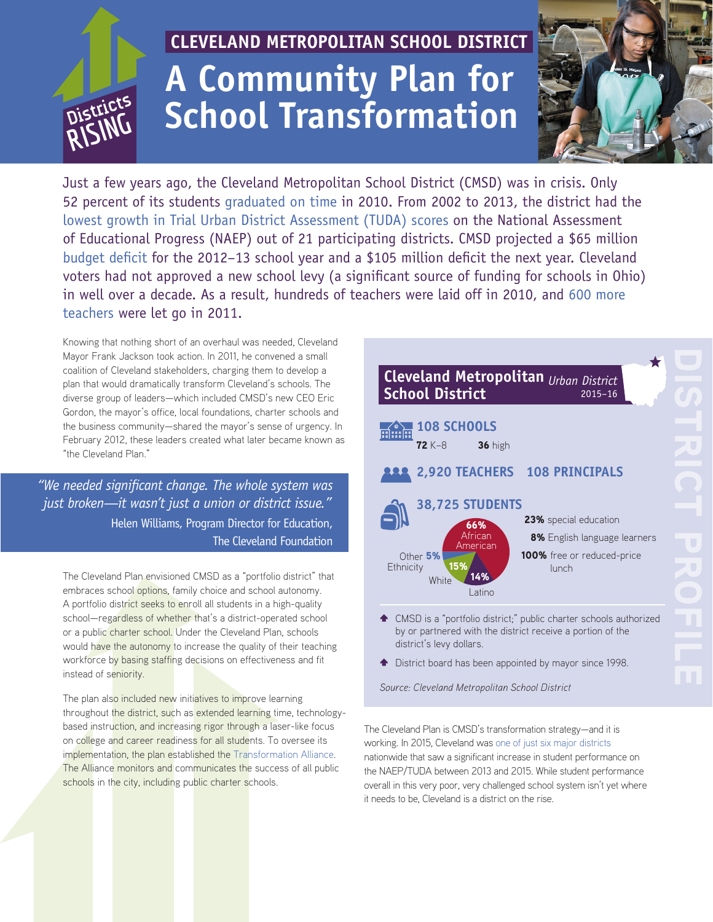# **CLEVELAND METROPOLITAN SCHOOL DISTRICT A Community Plan for a Right School Transformation School Transformation**



Just a few years ago, the Cleveland Metropolitan School District (CMSD) was in crisis. Only 52 percent of its students [graduated on time](http://reportcard.education.ohio.gov/) in 2010. From 2002 to 2013, the district had the [lowest growth in Trial Urban District Assessment \(TUDA\) scores](http://nces.ed.gov/nationsreportcard/subject/publications/main2013/pdf/2014466.pdf) on the National Assessment of Educational Progress (NAEP) out of 21 participating districts. CMSD projected a \$65 million [budget deficit](http://www.clevelandmetroschools.org/cms/lib05/OH01915844/Centricity/Domain/98/ClevelandPlanandLegislation.pdf) for the 2012–13 school year and a \$105 million deficit the next year. Cleveland voters had not approved a new school levy (a significant source of funding for schools in Ohio) in well over a decade. As a result, hundreds of teachers were laid off in 2010, and [600 more](http://blog.cleveland.com/metro/2011/04/cleveland_schools_lay_off_xx_c.html)  [teachers](http://blog.cleveland.com/metro/2011/04/cleveland_schools_lay_off_xx_c.html) were let go in 2011.

Knowing that nothing short of an overhaul was needed, Cleveland Mayor Frank Jackson took action. In 2011, he convened a small coalition of Cleveland stakeholders, charging them to develop a plan that would dramatically transform Cleveland's schools. The diverse group of leaders—which included CMSD's new CEO Eric Gordon, the mayor's office, local foundations, charter schools and the business community—shared the mayor's sense of urgency. In February 2012, these leaders created what later became known as "the Cleveland Plan."

*"We needed significant change. The whole system was just broken—it wasn't just a union or district issue."* Helen Williams, Program Director for Education, The Cleveland Foundation

The Cleveland Plan envisioned CMSD as a "portfolio district" that embraces school options, family choice and school autonomy. A portfolio district seeks to enroll all students in a high-quality school—regardless of whether that's a district-operated school or a public charter school. Under the Cleveland Plan, schools would have the autonomy to increase the quality of their teaching workforce by basing staffing decisions on effectiveness and fit instead of seniority.

The plan also included new initiatives to improve learning throughout the district, such as extended learning time, technologybased instruction, and increasing rigor through a laser-like focus on college and career readiness for all students. To oversee its implementation, the plan established the [Transformation Alliance.](http://www.clevelandta.org/) The Alliance monitors and communicates the success of all public schools in the city, including public charter schools.



- by or partnered with the district receive a portion of the district's levy dollars.
- $\triangleq$  District board has been appointed by mayor since 1998.

*Source: Cleveland Metropolitan School District*

The Cleveland Plan is CMSD's transformation strategy—and it is working. In 2015, Cleveland was [one of just six major districts](http://www.nationsreportcard.gov/reading_math_2015/files/2015_2013_TUDA_trends_summary.pdf) nationwide that saw a significant increase in student performance on the NAEP/TUDA between 2013 and 2015. While student performance overall in this very poor, very challenged school system isn't yet where it needs to be, Cleveland is a district on the rise.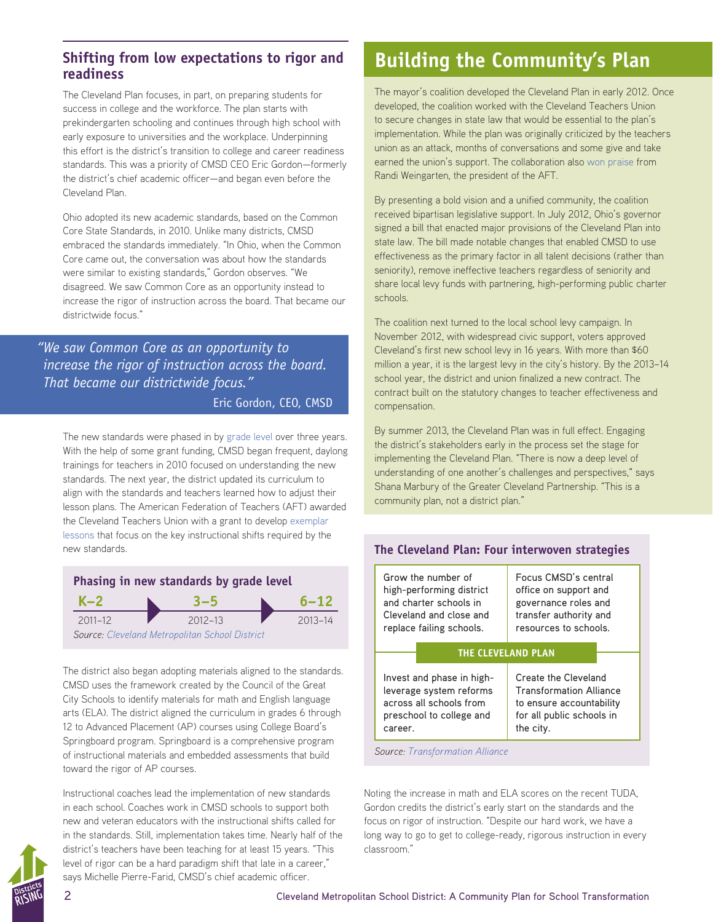### **Shifting from low expectations to rigor and readiness**

The Cleveland Plan focuses, in part, on preparing students for success in college and the workforce. The plan starts with prekindergarten schooling and continues through high school with early exposure to universities and the workplace. Underpinning this effort is the district's transition to college and career readiness standards. This was a priority of CMSD CEO Eric Gordon—formerly the district's chief academic officer—and began even before the Cleveland Plan.

Ohio adopted its new academic standards, based on the Common Core State Standards, in 2010. Unlike many districts, CMSD embraced the standards immediately. "In Ohio, when the Common Core came out, the conversation was about how the standards were similar to existing standards," Gordon observes. "We disagreed. We saw Common Core as an opportunity instead to increase the rigor of instruction across the board. That became our districtwide focus."

### *"We saw Common Core as an opportunity to increase the rigor of instruction across the board. That became our districtwide focus."*

### Eric Gordon, CEO, CMSD

The new standards were phased in by [grade level](http://www.clevelandmetroschools.org/cms/lib05/OH01915844/Centricity/Domain/98/ClevelandPlanandLegislation.pdf) over three years. With the help of some grant funding, CMSD began frequent, daylong trainings for teachers in 2010 focused on understanding the new standards. The next year, the district updated its curriculum to align with the standards and teachers learned how to adjust their lesson plans. The American Federation of Teachers (AFT) awarded the Cleveland Teachers Union with a grant to develop [exemplar](http://oh.aft.org/professional-issues/common-core-resources)  [lessons](http://oh.aft.org/professional-issues/common-core-resources) that focus on the key instructional shifts required by the new standards.



The district also began adopting materials aligned to the standards. CMSD uses the framework created by the Council of the Great City Schools to identify materials for math and English language arts (ELA). The district aligned the curriculum in grades 6 through 12 to Advanced Placement (AP) courses using College Board's Springboard program. Springboard is a comprehensive program of instructional materials and embedded assessments that build toward the rigor of AP courses.

Instructional coaches lead the implementation of new standards in each school. Coaches work in CMSD schools to support both new and veteran educators with the instructional shifts called for in the standards. Still, implementation takes time. Nearly half of the district's teachers have been teaching for at least 15 years. "This level of rigor can be a hard paradigm shift that late in a career," says Michelle Pierre-Farid, CMSD's chief academic officer.

## **Building the Community's Plan**

The mayor's coalition developed the Cleveland Plan in early 2012. Once developed, the coalition worked with the Cleveland Teachers Union to secure changes in state law that would be essential to the plan's implementation. While the plan was originally criticized by the teachers union as an attack, months of conversations and some give and take earned the union's support. The collaboration also [won praise](http://clevelandmetroschools.org/site/Default.aspx?PageType=3&DomainID=745&PageID=2107&ViewID=047e6be3-6d87-4130-8424-d8e4e9ed6c2a&FlexDataID=1947) from Randi Weingarten, the president of the AFT.

By presenting a bold vision and a unified community, the coalition received bipartisan legislative support. In July 2012, Ohio's governor signed a bill that enacted major provisions of the Cleveland Plan into state law. The bill made notable changes that enabled CMSD to use effectiveness as the primary factor in all talent decisions (rather than seniority), remove ineffective teachers regardless of seniority and share local levy funds with partnering, high-performing public charter schools.

The coalition next turned to the local school levy campaign. In November 2012, with widespread civic support, voters approved Cleveland's first new school levy in 16 years. With more than \$60 million a year, it is the largest levy in the city's history. By the 2013–14 school year, the district and union finalized a new contract. The contract built on the statutory changes to teacher effectiveness and compensation.

By summer 2013, the Cleveland Plan was in full effect. Engaging the district's stakeholders early in the process set the stage for implementing the Cleveland Plan. "There is now a deep level of understanding of one another's challenges and perspectives," says Shana Marbury of the Greater Cleveland Partnership. "This is a community plan, not a district plan."

| The Cleveland Plan: Four interwoven strategies                                                                                                                                                                                                         |                                                                                                                          |
|--------------------------------------------------------------------------------------------------------------------------------------------------------------------------------------------------------------------------------------------------------|--------------------------------------------------------------------------------------------------------------------------|
| Grow the number of<br>high-performing district<br>and charter schools in<br>Cleveland and close and<br>replace failing schools.                                                                                                                        | Focus CMSD's central<br>office on support and<br>governance roles and<br>transfer authority and<br>resources to schools. |
| <b>THE CLEVELAND PLAN</b>                                                                                                                                                                                                                              |                                                                                                                          |
| Create the Cleveland<br>Invest and phase in high-<br>leverage system reforms<br><b>Transformation Alliance</b><br>across all schools from<br>to ensure accountability<br>for all public schools in<br>preschool to college and<br>the city.<br>career. |                                                                                                                          |
| Cource, Transformation Alliance                                                                                                                                                                                                                        |                                                                                                                          |

*[Source](http://dcps.dc.gov/service/school-data): [Transformation Alliance](https://www.gcpartnership.com/~/media/Files%202015/Every%20Monday%20Jan%20June%202015/Cleveland%20Transfirmation%20Alliance%20Cleveland%20plan%20progress%20A_Book_Final_full%20page%20spread%20%281%29.ashx)*

Noting the increase in math and ELA scores on the recent TUDA, Gordon credits the district's early start on the standards and the focus on rigor of instruction. "Despite our hard work, we have a long way to go to get to college-ready, rigorous instruction in every classroom."

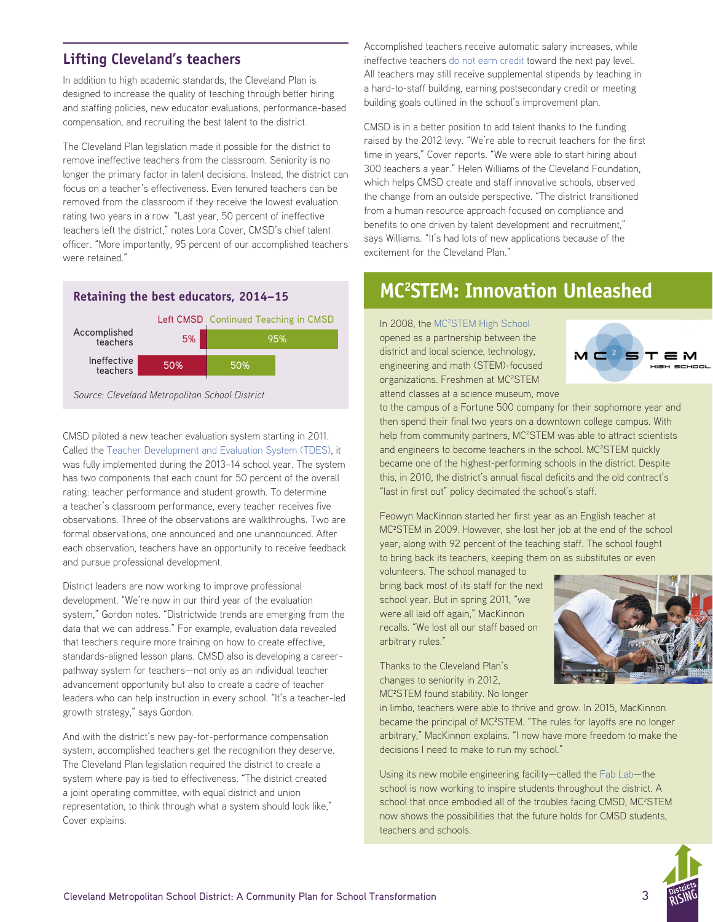### **Lifting Cleveland's teachers**

In addition to high academic standards, the Cleveland Plan is designed to increase the quality of teaching through better hiring and staffing policies, new educator evaluations, performance-based compensation, and recruiting the best talent to the district.

The Cleveland Plan legislation made it possible for the district to remove ineffective teachers from the classroom. Seniority is no longer the primary factor in talent decisions. Instead, the district can focus on a teacher's effectiveness. Even tenured teachers can be removed from the classroom if they receive the lowest evaluation rating two years in a row. "Last year, 50 percent of ineffective teachers left the district," notes Lora Cover, CMSD's chief talent officer. "More importantly, 95 percent of our accomplished teachers were retained."



*[Source](http://dcps.dc.gov/service/school-data): Cleveland Metropolitan School District*

CMSD piloted a new teacher evaluation system starting in 2011. Called the [Teacher Development and Evaluation System \(TDES\)](http://www.clevelandmetroschools.org/Page/555), it was fully implemented during the 2013–14 school year. The system has two components that each count for 50 percent of the overall rating: teacher performance and student growth. To determine a teacher's classroom performance, every teacher receives five observations. Three of the observations are walkthroughs. Two are formal observations, one announced and one unannounced. After each observation, teachers have an opportunity to receive feedback and pursue professional development.

District leaders are now working to improve professional development. "We're now in our third year of the evaluation system," Gordon notes. "Districtwide trends are emerging from the data that we can address." For example, evaluation data revealed that teachers require more training on how to create effective, standards-aligned lesson plans. CMSD also is developing a careerpathway system for teachers—not only as an individual teacher advancement opportunity but also to create a cadre of teacher leaders who can help instruction in every school. "It's a teacher-led growth strategy," says Gordon.

And with the district's new pay-for-performance compensation system, accomplished teachers get the recognition they deserve. The Cleveland Plan legislation required the district to create a system where pay is tied to effectiveness. "The district created a joint operating committee, with equal district and union representation, to think through what a system should look like," Cover explains.

Accomplished teachers receive automatic salary increases, while ineffective teachers [do not earn credit](http://www.clevelandmetroschools.org/Page/3352) toward the next pay level. All teachers may still receive supplemental stipends by teaching in a hard-to-staff building, earning postsecondary credit or meeting building goals outlined in the school's improvement plan.

CMSD is in a better position to add talent thanks to the funding raised by the 2012 levy. "We're able to recruit teachers for the first time in years," Cover reports. "We were able to start hiring about 300 teachers a year." Helen Williams of the Cleveland Foundation, which helps CMSD create and staff innovative schools, observed the change from an outside perspective. "The district transitioned from a human resource approach focused on compliance and benefits to one driven by talent development and recruitment," says Williams. "It's had lots of new applications because of the excitement for the Cleveland Plan."

### **MC2 STEM: Innovation Unleashed**

In 2008, the MC<sup>2</sup>[STEM High School](http://www.mc2stemhighschool.org/) opened as a partnership between the district and local science, technology, engineering and math (STEM)-focused organizations. Freshmen at MC<sup>2</sup>STEM attend classes at a science museum, move



to the campus of a Fortune 500 company for their sophomore year and then spend their final two years on a downtown college campus. With help from community partners, MC<sup>2</sup>STEM was able to attract scientists and engineers to become teachers in the school. MC<sup>2</sup>STEM quickly became one of the highest-performing schools in the district. Despite this, in 2010, the district's annual fiscal deficits and the old contract's "last in first out" policy decimated the school's staff.

Feowyn MacKinnon started her first year as an English teacher at MC<sup>2</sup> STEM in 2009. However, she lost her job at the end of the school year, along with 92 percent of the teaching staff. The school fought to bring back its teachers, keeping them on as substitutes or even

volunteers. The school managed to bring back most of its staff for the next school year. But in spring 2011, "we were all laid off again," MacKinnon recalls. "We lost all our staff based on arbitrary rules."

Thanks to the Cleveland Plan's changes to seniority in 2012, MC<sup>2</sup> STEM found stability. No longer



in limbo, teachers were able to thrive and grow. In 2015, MacKinnon became the principal of MC<sup>2</sup>STEM. "The rules for layoffs are no longer arbitrary," MacKinnon explains. "I now have more freedom to make the decisions I need to make to run my school."

Using its new mobile engineering facility—called the [Fab Lab](http://www.mc2stemhighschool.org/fablab)—the school is now working to inspire students throughout the district. A school that once embodied all of the troubles facing CMSD, MC<sup>2</sup>STEM now shows the possibilities that the future holds for CMSD students, teachers and schools.